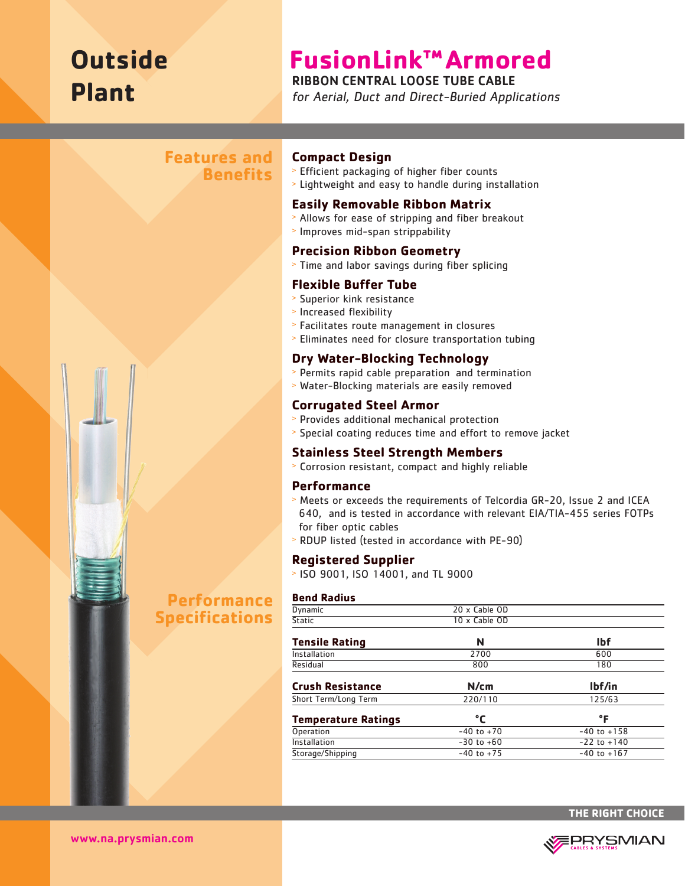# **Outside Plant**

## **FusionLink™Armored**

## RIBBON CENTRAL LOOSE TUBE CABLE

for Aerial, Duct and Direct-Buried Applications

## **Features and Benefits**



- <sup>&</sup>gt; Efficient packaging of higher fiber counts
- <sup>&</sup>gt; Lightweight and easy to handle during installation

#### **Easily Removable Ribbon Matrix**

- <sup>&</sup>gt; Allows for ease of stripping and fiber breakout
- <sup>&</sup>gt; Improves mid-span strippability

#### **Precision Ribbon Geometry**

<sup>&</sup>gt; Time and labor savings during fiber splicing

## **Flexible Buffer Tube**

- > Superior kink resistance
- <sup>&</sup>gt; Increased flexibility
- <sup>&</sup>gt; Facilitates route management in closures
- <sup>&</sup>gt; Eliminates need for closure transportation tubing

## **Dry Water-Blocking Technology**

- <sup>&</sup>gt; Permits rapid cable preparation and termination
- <sup>&</sup>gt; Water-Blocking materials are easily removed

#### **Corrugated Steel Armor**

- <sup>&</sup>gt; Provides additional mechanical protection
- <sup>&</sup>gt; Special coating reduces time and effort to remove jacket

## **Stainless Steel Strength Members**

<sup>&</sup>gt; Corrosion resistant, compact and highly reliable

#### **Performance**

- <sup>&</sup>gt; Meets or exceeds the requirements of Telcordia GR-20, Issue 2 and ICEA 640, and is tested in accordance with relevant EIA/TIA-455 series FOTPs for fiber optic cables
- <sup>&</sup>gt; RDUP listed (tested in accordance with PE-90)

## **Registered Supplier**

<sup>&</sup>gt; ISO 9001, ISO 14001, and TL 9000

#### **Bend Radius**

| <b>Dynamic</b>             | 20 x Cable OD  |                 |  |
|----------------------------|----------------|-----------------|--|
| <b>Static</b>              | 10 x Cable OD  |                 |  |
|                            |                |                 |  |
| <b>Tensile Rating</b>      | N              | <b>Ibf</b>      |  |
| Installation               | 2700           | 600             |  |
| Residual                   | 800            | 180             |  |
|                            |                |                 |  |
| <b>Crush Resistance</b>    | N/cm           | lbf/in          |  |
| Short Term/Long Term       | 220/110        | 125/63          |  |
|                            |                |                 |  |
| <b>Temperature Ratings</b> | °C             | °F              |  |
| Operation                  | $-40$ to $+70$ | $-40$ to $+158$ |  |
| <b>Installation</b>        | $-30$ to $+60$ | $-22$ to $+140$ |  |
| Storage/Shipping           | $-40$ to $+75$ | $-40$ to $+167$ |  |
|                            |                |                 |  |



**Performance Specifications**